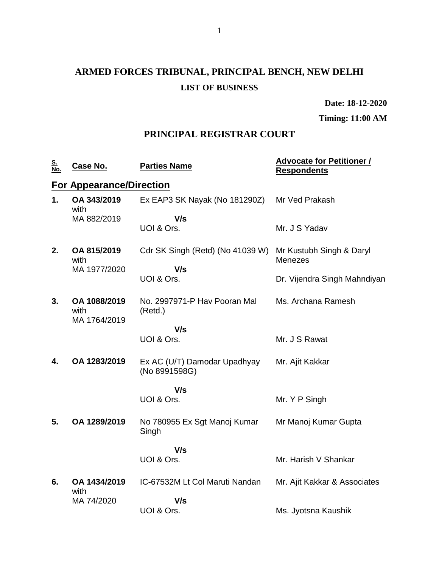## **ARMED FORCES TRIBUNAL, PRINCIPAL BENCH, NEW DELHI LIST OF BUSINESS**

**Date: 18-12-2020**

**Timing: 11:00 AM**

## **PRINCIPAL REGISTRAR COURT**

| <u>S.</u><br>No. | Case No.                             | <b>Parties Name</b>                           | <b>Advocate for Petitioner /</b><br><b>Respondents</b> |
|------------------|--------------------------------------|-----------------------------------------------|--------------------------------------------------------|
|                  | <b>For Appearance/Direction</b>      |                                               |                                                        |
| 1.               | OA 343/2019<br>with                  | Ex EAP3 SK Nayak (No 181290Z)                 | Mr Ved Prakash                                         |
|                  | MA 882/2019                          | V/s<br>UOI & Ors.                             | Mr. J S Yadav                                          |
| 2.               | OA 815/2019<br>with<br>MA 1977/2020  | Cdr SK Singh (Retd) (No 41039 W)              | Mr Kustubh Singh & Daryl<br><b>Menezes</b>             |
|                  |                                      | V/s<br>UOI & Ors.                             | Dr. Vijendra Singh Mahndiyan                           |
| 3.               | OA 1088/2019<br>with<br>MA 1764/2019 | No. 2997971-P Hav Pooran Mal<br>(Retd.)       | Ms. Archana Ramesh                                     |
|                  |                                      | V/s<br>UOI & Ors.                             | Mr. J S Rawat                                          |
| 4.               | OA 1283/2019                         | Ex AC (U/T) Damodar Upadhyay<br>(No 8991598G) | Mr. Ajit Kakkar                                        |
|                  |                                      | V/s<br>UOI & Ors.                             | Mr. Y P Singh                                          |
| 5.               | OA 1289/2019                         | No 780955 Ex Sgt Manoj Kumar<br>Singh         | Mr Manoj Kumar Gupta                                   |
|                  |                                      | V/s<br>UOI & Ors.                             | Mr. Harish V Shankar                                   |
| 6.               | OA 1434/2019<br>with                 | IC-67532M Lt Col Maruti Nandan<br>V/s         | Mr. Ajit Kakkar & Associates                           |
|                  | MA 74/2020                           | UOI & Ors.                                    | Ms. Jyotsna Kaushik                                    |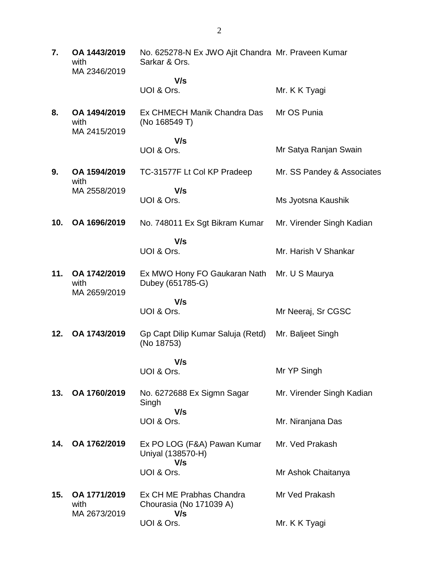| 7.  | OA 1443/2019<br>with<br>MA 2346/2019 | No. 625278-N Ex JWO Ajit Chandra Mr. Praveen Kumar<br>Sarkar & Ors. |                            |
|-----|--------------------------------------|---------------------------------------------------------------------|----------------------------|
|     |                                      | V/s                                                                 |                            |
|     |                                      | UOI & Ors.                                                          | Mr. K K Tyagi              |
| 8.  | OA 1494/2019<br>with<br>MA 2415/2019 | Ex CHMECH Manik Chandra Das<br>(No 168549 T)                        | Mr OS Punia                |
|     |                                      | V/s<br>UOI & Ors.                                                   | Mr Satya Ranjan Swain      |
| 9.  | OA 1594/2019<br>with<br>MA 2558/2019 | TC-31577F Lt Col KP Pradeep                                         | Mr. SS Pandey & Associates |
|     |                                      | V/s<br>UOI & Ors.                                                   | Ms Jyotsna Kaushik         |
| 10. | OA 1696/2019                         | No. 748011 Ex Sgt Bikram Kumar                                      | Mr. Virender Singh Kadian  |
|     |                                      | V/s                                                                 |                            |
|     |                                      | UOI & Ors.                                                          | Mr. Harish V Shankar       |
| 11. | OA 1742/2019<br>with<br>MA 2659/2019 | Ex MWO Hony FO Gaukaran Nath<br>Dubey (651785-G)                    | Mr. U S Maurya             |
|     |                                      | V/s                                                                 |                            |
|     |                                      | UOI & Ors.                                                          | Mr Neeraj, Sr CGSC         |
| 12. | OA 1743/2019                         | Gp Capt Dilip Kumar Saluja (Retd)<br>(No 18753)                     | Mr. Baljeet Singh          |
|     |                                      | V/s                                                                 |                            |
|     |                                      | UOI & Ors.                                                          | Mr YP Singh                |
| 13. | OA 1760/2019                         | No. 6272688 Ex Sigmn Sagar<br>Singh<br>V/s                          | Mr. Virender Singh Kadian  |
|     |                                      | UOI & Ors.                                                          | Mr. Niranjana Das          |
| 14. | OA 1762/2019                         | Ex PO LOG (F&A) Pawan Kumar<br>Uniyal (138570-H)<br>V/s             | Mr. Ved Prakash            |
|     |                                      | UOI & Ors.                                                          | Mr Ashok Chaitanya         |
| 15. | OA 1771/2019<br>with<br>MA 2673/2019 | Ex CH ME Prabhas Chandra<br>Chourasia (No 171039 A)<br>V/s          | Mr Ved Prakash             |
|     |                                      | UOI & Ors.                                                          | Mr. K K Tyagi              |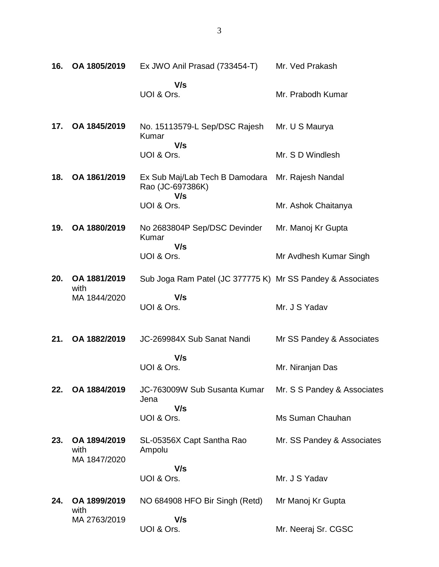| 16. | OA 1805/2019                         | Ex JWO Anil Prasad (733454-T)                              | Mr. Ved Prakash             |
|-----|--------------------------------------|------------------------------------------------------------|-----------------------------|
|     |                                      | V/s<br>UOI & Ors.                                          | Mr. Prabodh Kumar           |
| 17. | OA 1845/2019                         | No. 15113579-L Sep/DSC Rajesh<br>Kumar<br>V/s              | Mr. U S Maurya              |
|     |                                      | UOI & Ors.                                                 | Mr. S D Windlesh            |
| 18. | OA 1861/2019                         | Ex Sub Maj/Lab Tech B Damodara<br>Rao (JC-697386K)<br>V/s  | Mr. Rajesh Nandal           |
|     |                                      | UOI & Ors.                                                 | Mr. Ashok Chaitanya         |
| 19. | OA 1880/2019                         | No 2683804P Sep/DSC Devinder<br>Kumar<br>V/s               | Mr. Manoj Kr Gupta          |
|     |                                      | UOI & Ors.                                                 | Mr Avdhesh Kumar Singh      |
| 20. | OA 1881/2019<br>with                 | Sub Joga Ram Patel (JC 377775 K) Mr SS Pandey & Associates |                             |
|     | MA 1844/2020                         | V/s<br>UOI & Ors.                                          | Mr. J S Yadav               |
| 21. | OA 1882/2019                         | JC-269984X Sub Sanat Nandi                                 | Mr SS Pandey & Associates   |
|     |                                      | V/s<br>UOI & Ors.                                          | Mr. Niranjan Das            |
| 22. | OA 1884/2019                         | JC-763009W Sub Susanta Kumar<br>Jena                       | Mr. S S Pandey & Associates |
|     |                                      | V/s<br>UOI & Ors.                                          | Ms Suman Chauhan            |
| 23. | OA 1894/2019<br>with<br>MA 1847/2020 | SL-05356X Capt Santha Rao<br>Ampolu                        | Mr. SS Pandey & Associates  |
|     |                                      | V/s<br>UOI & Ors.                                          | Mr. J S Yadav               |
| 24. | OA 1899/2019<br>with                 | NO 684908 HFO Bir Singh (Retd)                             | Mr Manoj Kr Gupta           |
|     | MA 2763/2019                         | V/s<br>UOI & Ors.                                          | Mr. Neeraj Sr. CGSC         |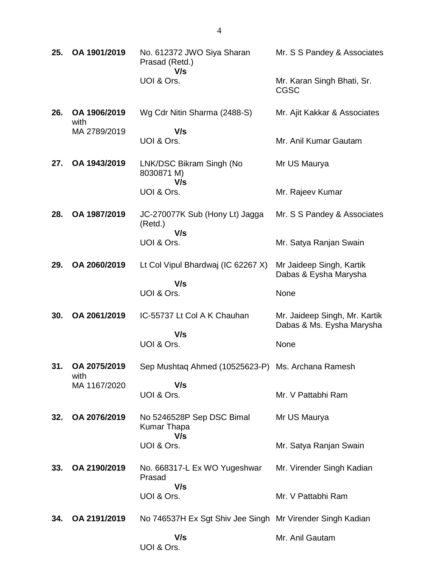| 25. | OA 1901/2019         | No. 612372 JWO Siya Sharan<br>Prasad (Retd.)<br>V/s       | Mr. S S Pandey & Associates                                |
|-----|----------------------|-----------------------------------------------------------|------------------------------------------------------------|
|     |                      | UOI & Ors.                                                | Mr. Karan Singh Bhati, Sr.<br><b>CGSC</b>                  |
| 26. | OA 1906/2019<br>with | Wg Cdr Nitin Sharma (2488-S)                              | Mr. Ajit Kakkar & Associates                               |
|     | MA 2789/2019         | V/s<br>UOI & Ors.                                         | Mr. Anil Kumar Gautam                                      |
| 27. | OA 1943/2019         | LNK/DSC Bikram Singh (No<br>8030871 M)<br>V/s             | Mr US Maurya                                               |
|     |                      | UOI & Ors.                                                | Mr. Rajeev Kumar                                           |
| 28. | OA 1987/2019         | JC-270077K Sub (Hony Lt) Jagga<br>(Retd.)<br>V/s          | Mr. S S Pandey & Associates                                |
|     |                      | UOI & Ors.                                                | Mr. Satya Ranjan Swain                                     |
| 29. | OA 2060/2019         | Lt Col Vipul Bhardwaj (IC 62267 X)                        | Mr Jaideep Singh, Kartik<br>Dabas & Eysha Marysha          |
|     |                      | V/s<br>UOI & Ors.                                         | None                                                       |
| 30. | OA 2061/2019         | IC-55737 Lt Col A K Chauhan                               | Mr. Jaideep Singh, Mr. Kartik<br>Dabas & Ms. Eysha Marysha |
|     |                      | V/s<br>UOI & Ors.                                         | None                                                       |
| 31. | OA 2075/2019<br>with | Sep Mushtaq Ahmed (10525623-P) Ms. Archana Ramesh         |                                                            |
|     | MA 1167/2020         | V/s<br>UOI & Ors.                                         | Mr. V Pattabhi Ram                                         |
| 32. | OA 2076/2019         | No 5246528P Sep DSC Bimal<br>Kumar Thapa<br>V/s           | Mr US Maurya                                               |
|     |                      | UOI & Ors.                                                | Mr. Satya Ranjan Swain                                     |
| 33. | OA 2190/2019         | No. 668317-L Ex WO Yugeshwar<br>Prasad                    | Mr. Virender Singh Kadian                                  |
|     |                      | V/s<br>UOI & Ors.                                         | Mr. V Pattabhi Ram                                         |
| 34. | OA 2191/2019         | No 746537H Ex Sgt Shiv Jee Singh Mr Virender Singh Kadian |                                                            |
|     |                      | V/s<br>UOI & Ors.                                         | Mr. Anil Gautam                                            |

4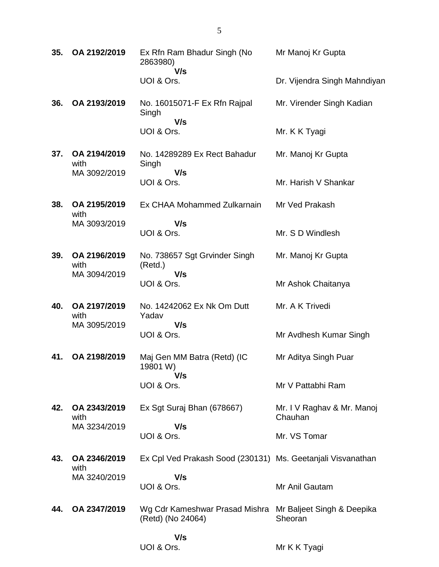| 35. | OA 2192/2019                         | Ex Rfn Ram Bhadur Singh (No<br>2863980)                                        | Mr Manoj Kr Gupta                     |
|-----|--------------------------------------|--------------------------------------------------------------------------------|---------------------------------------|
|     |                                      | V/s<br>UOI & Ors.                                                              | Dr. Vijendra Singh Mahndiyan          |
| 36. | OA 2193/2019                         | No. 16015071-F Ex Rfn Rajpal<br>Singh<br>V/s                                   | Mr. Virender Singh Kadian             |
|     |                                      | UOI & Ors.                                                                     | Mr. K K Tyagi                         |
| 37. | OA 2194/2019<br>with                 | No. 14289289 Ex Rect Bahadur<br>Singh<br>V/s                                   | Mr. Manoj Kr Gupta                    |
|     | MA 3092/2019                         | UOI & Ors.                                                                     | Mr. Harish V Shankar                  |
| 38. | OA 2195/2019<br>with                 | Ex CHAA Mohammed Zulkarnain                                                    | Mr Ved Prakash                        |
|     | MA 3093/2019                         | V/s<br>UOI & Ors.                                                              | Mr. S D Windlesh                      |
| 39. | OA 2196/2019<br>with<br>MA 3094/2019 | No. 738657 Sgt Grvinder Singh<br>(Retd.)                                       | Mr. Manoj Kr Gupta                    |
|     |                                      | V/s<br>UOI & Ors.                                                              | Mr Ashok Chaitanya                    |
| 40. | OA 2197/2019<br>with                 | No. 14242062 Ex Nk Om Dutt<br>Yadav                                            | Mr. A K Trivedi                       |
|     | MA 3095/2019                         | V/s<br>UOI & Ors.                                                              | Mr Avdhesh Kumar Singh                |
| 41. | OA 2198/2019                         | Maj Gen MM Batra (Retd) (IC<br>19801 W)                                        | Mr Aditya Singh Puar                  |
|     |                                      | V/s<br>UOI & Ors.                                                              | Mr V Pattabhi Ram                     |
| 42. | OA 2343/2019<br>with                 | Ex Sgt Suraj Bhan (678667)                                                     | Mr. I V Raghav & Mr. Manoj<br>Chauhan |
|     | MA 3234/2019                         | V/s<br>UOI & Ors.                                                              | Mr. VS Tomar                          |
| 43. | OA 2346/2019<br>with                 | Ex Cpl Ved Prakash Sood (230131) Ms. Geetanjali Visvanathan                    |                                       |
|     | MA 3240/2019                         | V/s<br>UOI & Ors.                                                              | Mr Anil Gautam                        |
| 44. | OA 2347/2019                         | Wg Cdr Kameshwar Prasad Mishra Mr Baljeet Singh & Deepika<br>(Retd) (No 24064) | Sheoran                               |
|     |                                      | V/s                                                                            |                                       |

Mr K K Tyagi

UOI & Ors.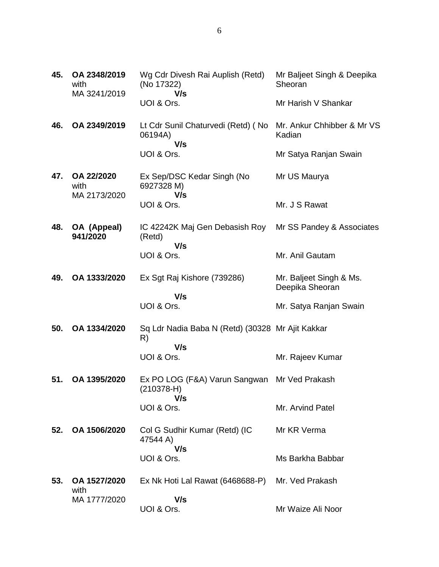| 45. | OA 2348/2019<br>with<br>MA 3241/2019 | Wg Cdr Divesh Rai Auplish (Retd)<br>(No 17322)<br>V/s        | Mr Baljeet Singh & Deepika<br>Sheoran      |
|-----|--------------------------------------|--------------------------------------------------------------|--------------------------------------------|
|     |                                      | UOI & Ors.                                                   | Mr Harish V Shankar                        |
| 46. | OA 2349/2019                         | Lt Cdr Sunil Chaturvedi (Retd) (No<br>06194A)<br>V/s         | Mr. Ankur Chhibber & Mr VS<br>Kadian       |
|     |                                      | UOI & Ors.                                                   | Mr Satya Ranjan Swain                      |
| 47. | OA 22/2020<br>with<br>MA 2173/2020   | Ex Sep/DSC Kedar Singh (No<br>6927328 M)<br>V/s              | Mr US Maurya                               |
|     |                                      | UOI & Ors.                                                   | Mr. J S Rawat                              |
| 48. | OA (Appeal)<br>941/2020              | IC 42242K Maj Gen Debasish Roy<br>(Retd)<br>V/s              | Mr SS Pandey & Associates                  |
|     |                                      | UOI & Ors.                                                   | Mr. Anil Gautam                            |
| 49. | OA 1333/2020                         | Ex Sgt Raj Kishore (739286)                                  | Mr. Baljeet Singh & Ms.<br>Deepika Sheoran |
|     |                                      | V/s<br>UOI & Ors.                                            | Mr. Satya Ranjan Swain                     |
| 50. | OA 1334/2020                         | Sq Ldr Nadia Baba N (Retd) (30328 Mr Ajit Kakkar<br>R)       |                                            |
|     |                                      | V/s<br>UOI & Ors.                                            | Mr. Rajeev Kumar                           |
| 51. | OA 1395/2020                         | Ex PO LOG (F&A) Varun Sangwan Mr Ved Prakash<br>$(210378-H)$ |                                            |
|     |                                      | V/s<br>UOI & Ors.                                            | Mr. Arvind Patel                           |
| 52. | OA 1506/2020                         | Col G Sudhir Kumar (Retd) (IC<br>47544 A)                    | Mr KR Verma                                |
|     |                                      | V/s<br>UOI & Ors.                                            | Ms Barkha Babbar                           |
| 53. | OA 1527/2020<br>with                 | Ex Nk Hoti Lal Rawat (6468688-P)                             | Mr. Ved Prakash                            |
|     | MA 1777/2020                         | V/s<br>UOI & Ors.                                            | Mr Waize Ali Noor                          |